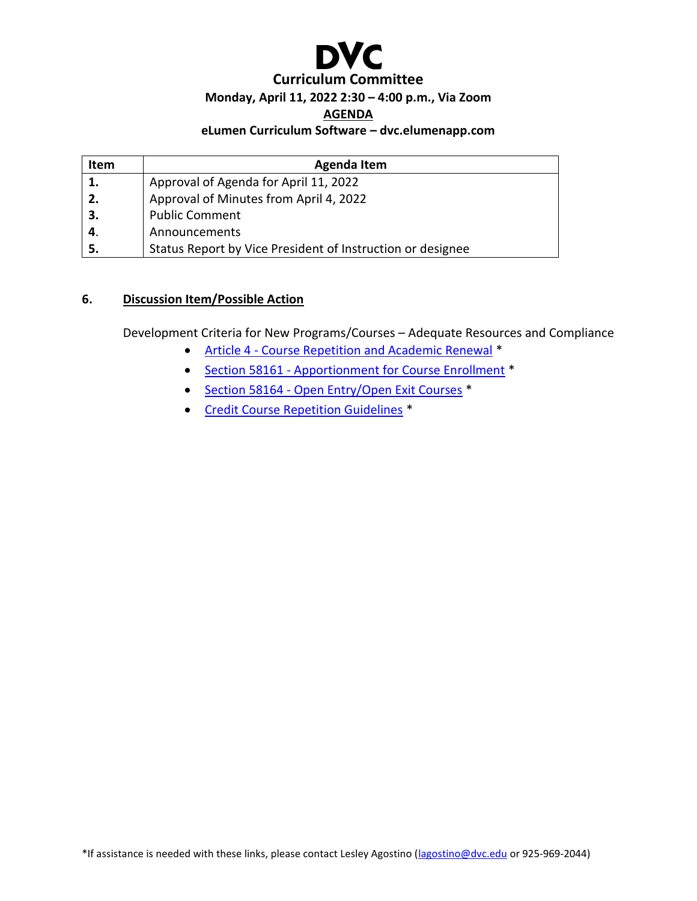

#### **Monday, April 11, 2022 2:30 – 4:00 p.m., Via Zoom**

#### **AGENDA**

#### **eLumen Curriculum Software – dvc.elumenapp.com**

| <b>Item</b> | <b>Agenda Item</b>                                         |
|-------------|------------------------------------------------------------|
| 1.          | Approval of Agenda for April 11, 2022                      |
| 2.          | Approval of Minutes from April 4, 2022                     |
| 3.          | <b>Public Comment</b>                                      |
|             | Announcements                                              |
| 5.          | Status Report by Vice President of Instruction or designee |

### **6. Discussion Item/Possible Action**

Development Criteria for New Programs/Courses – Adequate Resources and Compliance

- Article 4 [Course Repetition and Academic Renewal](https://casetext.com/regulation/california-code-of-regulations/title-5-education/division-6-california-community-colleges/chapter-6-curriculum-and-instruction/subchapter-1-programs-courses-and-classes/article-4-course-repetition-and-academic-renewal) \*
- Section 58161 [Apportionment for Course Enrollment](https://casetext.com/regulation/california-code-of-regulations/title-5-education/division-6-california-community-colleges/chapter-9-fiscal-support/subchapter-2-limitations-on-state-aid/article-5-other-limitations/section-58161-apportionment-for-course-enrollment?) \*
- Section 58164 [Open Entry/Open Exit Courses](https://casetext.com/regulation/california-code-of-regulations/title-5-education/division-6-california-community-colleges/chapter-9-fiscal-support/subchapter-2-limitations-on-state-aid/article-5-other-limitations/section-58164-open-entryopen-exit-courses?) \*
- [Credit Course Repetition Guidelines](https://www.cccco.edu/-/media/CCCCO-Website/About-Us/Divisions/Educational-Services-and-Support/Academic-Affairs/What-we-do/Curriculum-and-Instruction-Unit/Files/CreditCourseRepetitionGuidelinesFinal_pdf.ashx?la=en&hash=8E483A6595412289711EB8B42D1A64DD37B91C75) \*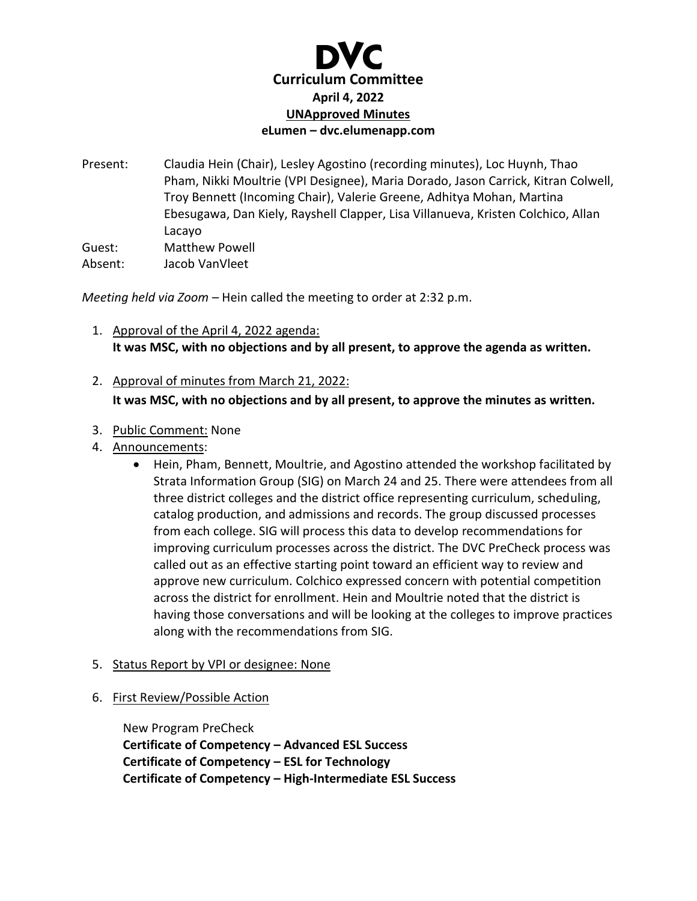

Present: Claudia Hein (Chair), Lesley Agostino (recording minutes), Loc Huynh, Thao Pham, Nikki Moultrie (VPI Designee), Maria Dorado, Jason Carrick, Kitran Colwell, Troy Bennett (Incoming Chair), Valerie Greene, Adhitya Mohan, Martina Ebesugawa, Dan Kiely, Rayshell Clapper, Lisa Villanueva, Kristen Colchico, Allan Lacayo Guest: Matthew Powell Absent: Jacob VanVleet

*Meeting held via Zoom –* Hein called the meeting to order at 2:32 p.m.

- 1. Approval of the April 4, 2022 agenda: **It was MSC, with no objections and by all present, to approve the agenda as written.**
- 2. Approval of minutes from March 21, 2022: **It was MSC, with no objections and by all present, to approve the minutes as written.**
- 3. Public Comment: None
- 4. Announcements:
	- Hein, Pham, Bennett, Moultrie, and Agostino attended the workshop facilitated by Strata Information Group (SIG) on March 24 and 25. There were attendees from all three district colleges and the district office representing curriculum, scheduling, catalog production, and admissions and records. The group discussed processes from each college. SIG will process this data to develop recommendations for improving curriculum processes across the district. The DVC PreCheck process was called out as an effective starting point toward an efficient way to review and approve new curriculum. Colchico expressed concern with potential competition across the district for enrollment. Hein and Moultrie noted that the district is having those conversations and will be looking at the colleges to improve practices along with the recommendations from SIG.
- 5. Status Report by VPI or designee: None
- 6. First Review/Possible Action

New Program PreCheck **Certificate of Competency – Advanced ESL Success Certificate of Competency – ESL for Technology Certificate of Competency – High-Intermediate ESL Success**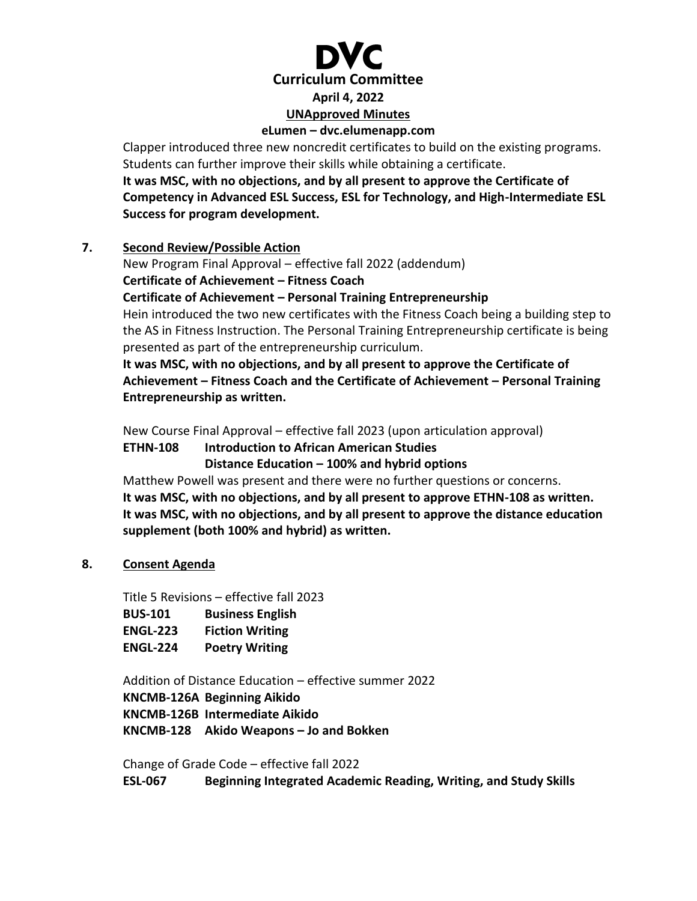**Curriculum Committee April 4, 2022 UNApproved Minutes eLumen – dvc.elumenapp.com**

Clapper introduced three new noncredit certificates to build on the existing programs. Students can further improve their skills while obtaining a certificate.

**It was MSC, with no objections, and by all present to approve the Certificate of Competency in Advanced ESL Success, ESL for Technology, and High-Intermediate ESL Success for program development.** 

### **7. Second Review/Possible Action**

New Program Final Approval – effective fall 2022 (addendum)

**Certificate of Achievement – Fitness Coach**

**Certificate of Achievement – Personal Training Entrepreneurship**

Hein introduced the two new certificates with the Fitness Coach being a building step to the AS in Fitness Instruction. The Personal Training Entrepreneurship certificate is being presented as part of the entrepreneurship curriculum.

**It was MSC, with no objections, and by all present to approve the Certificate of Achievement – Fitness Coach and the Certificate of Achievement – Personal Training Entrepreneurship as written.**

New Course Final Approval – effective fall 2023 (upon articulation approval)

**ETHN-108 Introduction to African American Studies**

**Distance Education – 100% and hybrid options**

Matthew Powell was present and there were no further questions or concerns. **It was MSC, with no objections, and by all present to approve ETHN-108 as written. It was MSC, with no objections, and by all present to approve the distance education supplement (both 100% and hybrid) as written.**

**8. Consent Agenda**

Title 5 Revisions – effective fall 2023

**BUS-101 Business English**

**ENGL-223 Fiction Writing**

**ENGL-224 Poetry Writing**

Addition of Distance Education – effective summer 2022

**KNCMB-126A Beginning Aikido**

**KNCMB-126B Intermediate Aikido**

**KNCMB-128 Akido Weapons – Jo and Bokken**

Change of Grade Code – effective fall 2022

**ESL-067 Beginning Integrated Academic Reading, Writing, and Study Skills**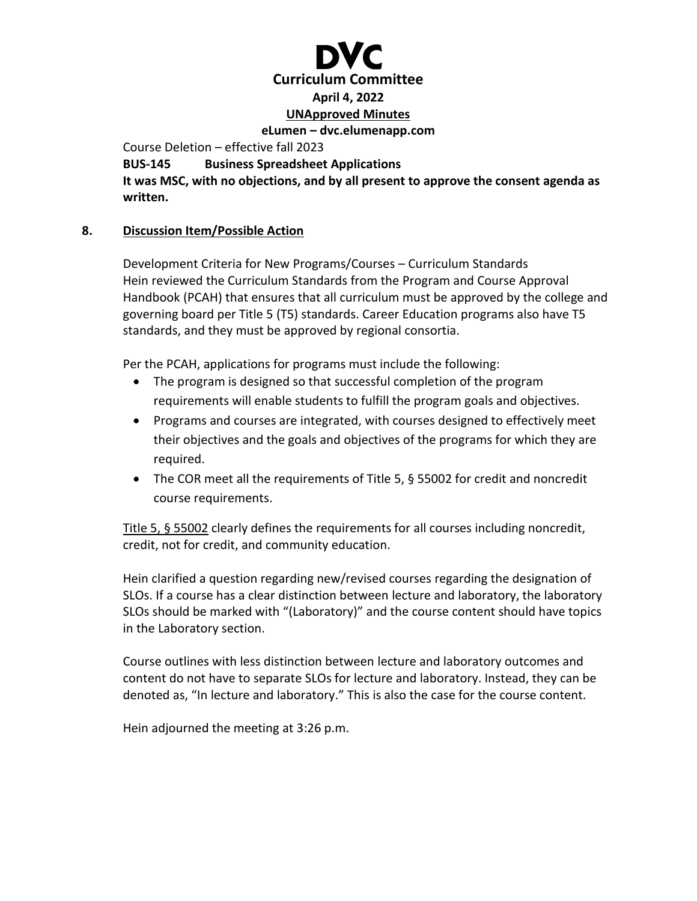

Course Deletion – effective fall 2023

**BUS-145 Business Spreadsheet Applications**

**It was MSC, with no objections, and by all present to approve the consent agenda as written.** 

### **8. Discussion Item/Possible Action**

Development Criteria for New Programs/Courses – Curriculum Standards Hein reviewed the Curriculum Standards from the Program and Course Approval Handbook (PCAH) that ensures that all curriculum must be approved by the college and governing board per Title 5 (T5) standards. Career Education programs also have T5 standards, and they must be approved by regional consortia.

Per the PCAH, applications for programs must include the following:

- The program is designed so that successful completion of the program requirements will enable students to fulfill the program goals and objectives.
- Programs and courses are integrated, with courses designed to effectively meet their objectives and the goals and objectives of the programs for which they are required.
- The COR meet all the requirements of Title 5, § 55002 for credit and noncredit course requirements.

[Title 5, § 55002](https://govt.westlaw.com/calregs/Document/I9D2D0137ACF049019AC07C153D823E3B?transitionType=Default&contextData=%28sc.Default%29) clearly defines the requirements for all courses including noncredit, credit, not for credit, and community education.

Hein clarified a question regarding new/revised courses regarding the designation of SLOs. If a course has a clear distinction between lecture and laboratory, the laboratory SLOs should be marked with "(Laboratory)" and the course content should have topics in the Laboratory section.

Course outlines with less distinction between lecture and laboratory outcomes and content do not have to separate SLOs for lecture and laboratory. Instead, they can be denoted as, "In lecture and laboratory." This is also the case for the course content.

Hein adjourned the meeting at 3:26 p.m.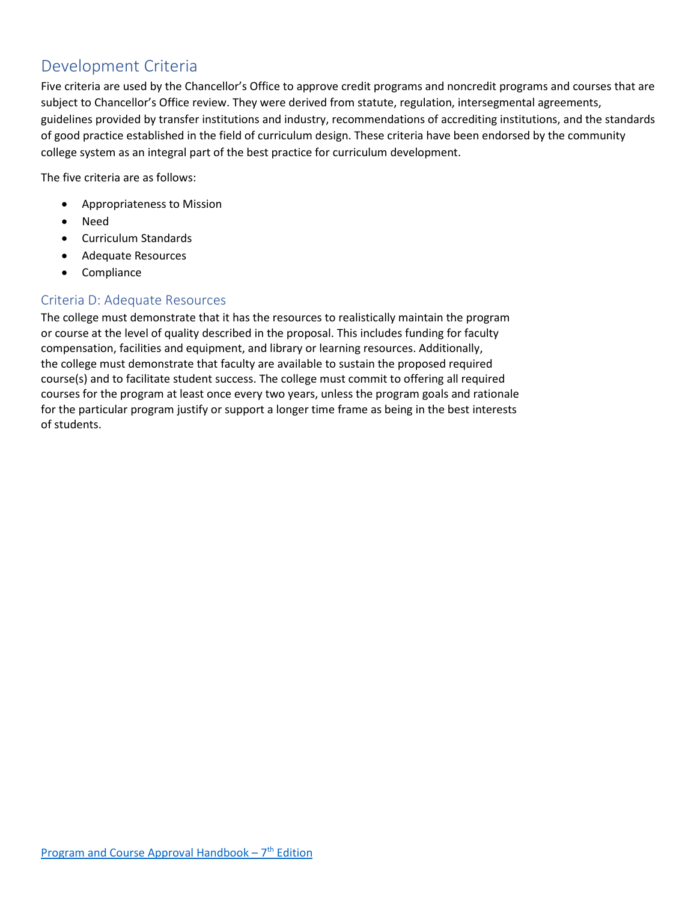# Development Criteria

Five criteria are used by the Chancellor's Office to approve credit programs and noncredit programs and courses that are subject to Chancellor's Office review. They were derived from statute, regulation, intersegmental agreements, guidelines provided by transfer institutions and industry, recommendations of accrediting institutions, and the standards of good practice established in the field of curriculum design. These criteria have been endorsed by the community college system as an integral part of the best practice for curriculum development.

The five criteria are as follows:

- Appropriateness to Mission
- Need
- Curriculum Standards
- Adequate Resources
- Compliance

#### Criteria D: Adequate Resources

The college must demonstrate that it has the resources to realistically maintain the program or course at the level of quality described in the proposal. This includes funding for faculty compensation, facilities and equipment, and library or learning resources. Additionally, the college must demonstrate that faculty are available to sustain the proposed required course(s) and to facilitate student success. The college must commit to offering all required courses for the program at least once every two years, unless the program goals and rationale for the particular program justify or support a longer time frame as being in the best interests of students.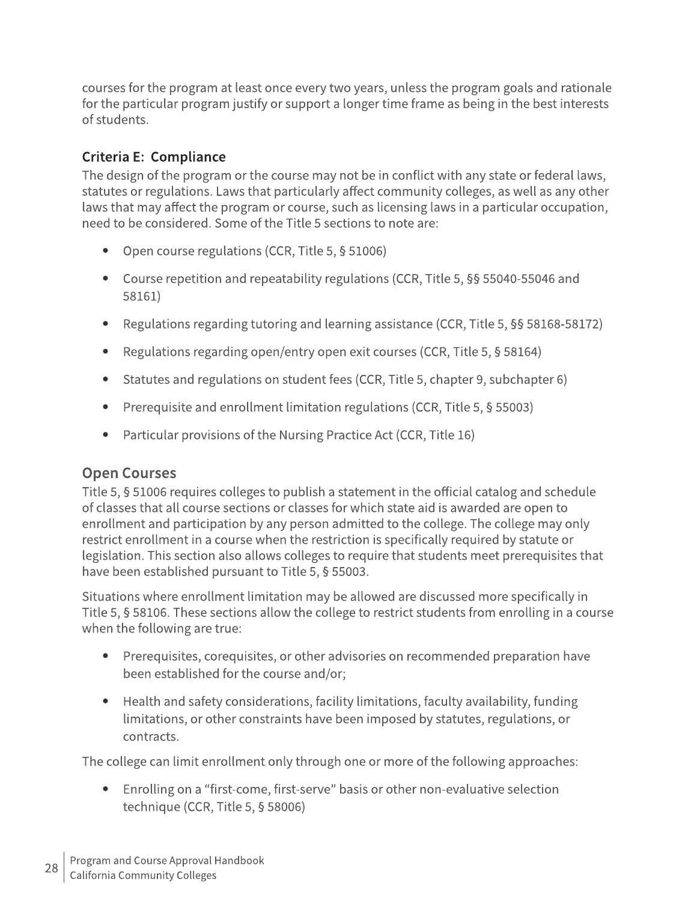courses for the program at least once every two years, unless the program goals and rationale for the particular program justify or support a longer time frame as being in the best interests of students.

## Criteria E: Compliance

The design of the program or the course may not be in conflict with any state or federal laws, statutes or regulations. Laws that particularly affect community colleges, as well as any other laws that may affect the program or course, such as licensing laws in a particular occupation, need to be considered. Some of the Title 5 sections to note are:

- Open course regulations (CCR, Title 5, § 51006)
- Course repetition and repeatability regulations (CCR, Title 5, §§ 55040-55046 and 58161)
- Regulations regarding tutoring and learning assistance (CCR, Title 5, §§ 58168-58172)
- Regulations regarding open/entry open exit courses (CCR, Title 5, § 58164)
- Statutes and regulations on student fees (CCR, Title 5, chapter 9, subchapter 6)
- Prerequisite and enrollment limitation regulations (CCR, Title 5, § 55003)
- Particular provisions of the Nursing Practice Act (CCR, Title 16)

## **Open Courses**

Title 5, § 51006 requires colleges to publish a statement in the official catalog and schedule of classes that all course sections or classes for which state aid is awarded are open to enrollment and participation by any person admitted to the college. The college may only restrict enrollment in a course when the restriction is specifically required by statute or legislation. This section also allows colleges to require that students meet prerequisites that have been established pursuant to Title 5, § 55003.

Situations where enrollment limitation may be allowed are discussed more specifically in Title 5, § 58106. These sections allow the college to restrict students from enrolling in a course when the following are true:

- Prerequisites, corequisites, or other advisories on recommended preparation have been established for the course and/or;
- Health and safety considerations, facility limitations, faculty availability, funding limitations, or other constraints have been imposed by statutes, regulations, or contracts.

The college can limit enrollment only through one or more of the following approaches:

• Enrolling on a "first-come, first-serve" basis or other non-evaluative selection technique (CCR, Title 5, § 58006)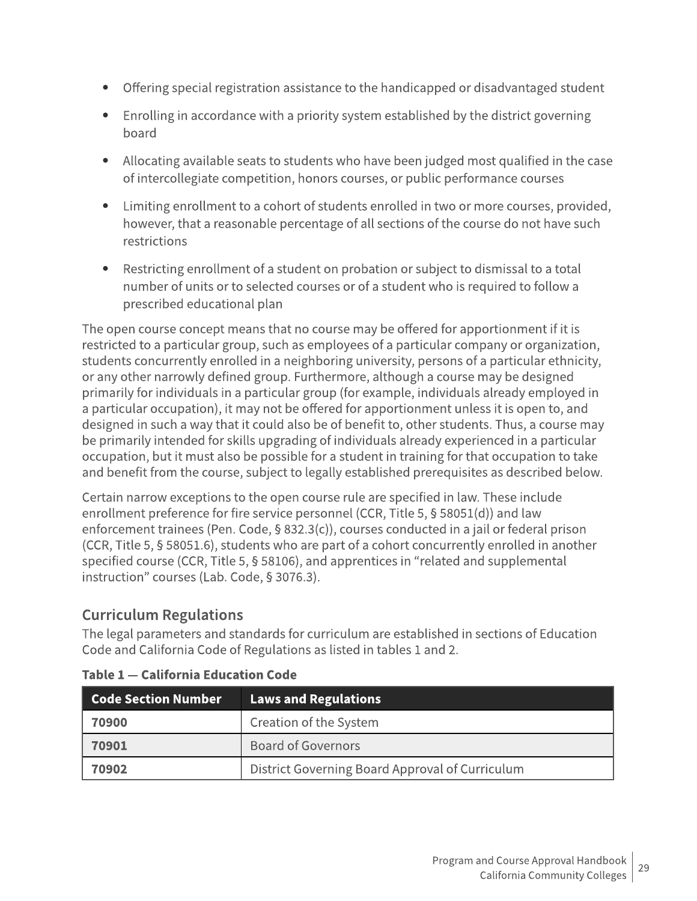- Offering special registration assistance to the handicapped or disadvantaged student
- Enrolling in accordance with a priority system established by the district governing board
- Allocating available seats to students who have been judged most qualified in the case of intercollegiate competition, honors courses, or public performance courses
- Limiting enrollment to a cohort of students enrolled in two or more courses, provided, however, that a reasonable percentage of all sections of the course do not have such restrictions
- Restricting enrollment of a student on probation or subject to dismissal to a total number of units or to selected courses or of a student who is required to follow a prescribed educational plan

The open course concept means that no course may be offered for apportionment if it is restricted to a particular group, such as employees of a particular company or organization, students concurrently enrolled in a neighboring university, persons of a particular ethnicity, or any other narrowly defined group. Furthermore, although a course may be designed primarily for individuals in a particular group (for example, individuals already employed in a particular occupation), it may not be offered for apportionment unless it is open to, and designed in such a way that it could also be of benefit to, other students. Thus, a course may be primarily intended for skills upgrading of individuals already experienced in a particular occupation, but it must also be possible for a student in training for that occupation to take and benefit from the course, subject to legally established prerequisites as described below.

Certain narrow exceptions to the open course rule are specified in law. These include enrollment preference for fire service personnel (CCR, Title 5, § 58051(d)) and law enforcement trainees (Pen. Code, § 832.3(c)), courses conducted in a jail or federal prison (CCR, Title 5, § 58051.6), students who are part of a cohort concurrently enrolled in another specified course (CCR, Title 5, § 58106), and apprentices in "related and supplemental instruction" courses (Lab. Code, § 3076.3).

# **Curriculum Regulations**

The legal parameters and standards for curriculum are established in sections of Education Code and California Code of Regulations as listed in tables 1 and 2.

| $\mid$ Code Section Number | <b>Laws and Regulations</b>                     |
|----------------------------|-------------------------------------------------|
| 70900                      | Creation of the System                          |
| 70901                      | <b>Board of Governors</b>                       |
| 70902                      | District Governing Board Approval of Curriculum |

| Table 1 - California Education Code |  |  |  |  |
|-------------------------------------|--|--|--|--|
|-------------------------------------|--|--|--|--|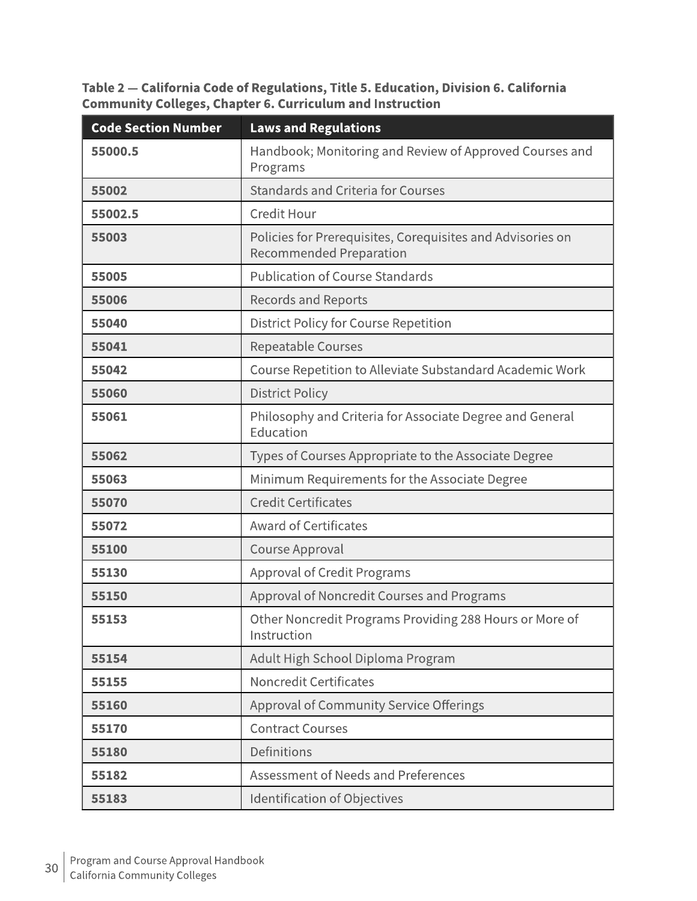Table 2 - California Code of Regulations, Title 5. Education, Division 6. California **Community Colleges, Chapter 6. Curriculum and Instruction** 

| <b>Code Section Number</b> | <b>Laws and Regulations</b>                                                                  |
|----------------------------|----------------------------------------------------------------------------------------------|
| 55000.5                    | Handbook; Monitoring and Review of Approved Courses and<br>Programs                          |
| 55002                      | <b>Standards and Criteria for Courses</b>                                                    |
| 55002.5                    | <b>Credit Hour</b>                                                                           |
| 55003                      | Policies for Prerequisites, Corequisites and Advisories on<br><b>Recommended Preparation</b> |
| 55005                      | <b>Publication of Course Standards</b>                                                       |
| 55006                      | <b>Records and Reports</b>                                                                   |
| 55040                      | <b>District Policy for Course Repetition</b>                                                 |
| 55041                      | Repeatable Courses                                                                           |
| 55042                      | Course Repetition to Alleviate Substandard Academic Work                                     |
| 55060                      | <b>District Policy</b>                                                                       |
| 55061                      | Philosophy and Criteria for Associate Degree and General<br>Education                        |
| 55062                      | Types of Courses Appropriate to the Associate Degree                                         |
| 55063                      | Minimum Requirements for the Associate Degree                                                |
| 55070                      | <b>Credit Certificates</b>                                                                   |
| 55072                      | <b>Award of Certificates</b>                                                                 |
| 55100                      | Course Approval                                                                              |
| 55130                      | <b>Approval of Credit Programs</b>                                                           |
| 55150                      | Approval of Noncredit Courses and Programs                                                   |
| 55153                      | Other Noncredit Programs Providing 288 Hours or More of<br>Instruction                       |
| 55154                      | Adult High School Diploma Program                                                            |
| 55155                      | <b>Noncredit Certificates</b>                                                                |
| 55160                      | <b>Approval of Community Service Offerings</b>                                               |
| 55170                      | <b>Contract Courses</b>                                                                      |
| 55180                      | Definitions                                                                                  |
| 55182                      | Assessment of Needs and Preferences                                                          |
| 55183                      | <b>Identification of Objectives</b>                                                          |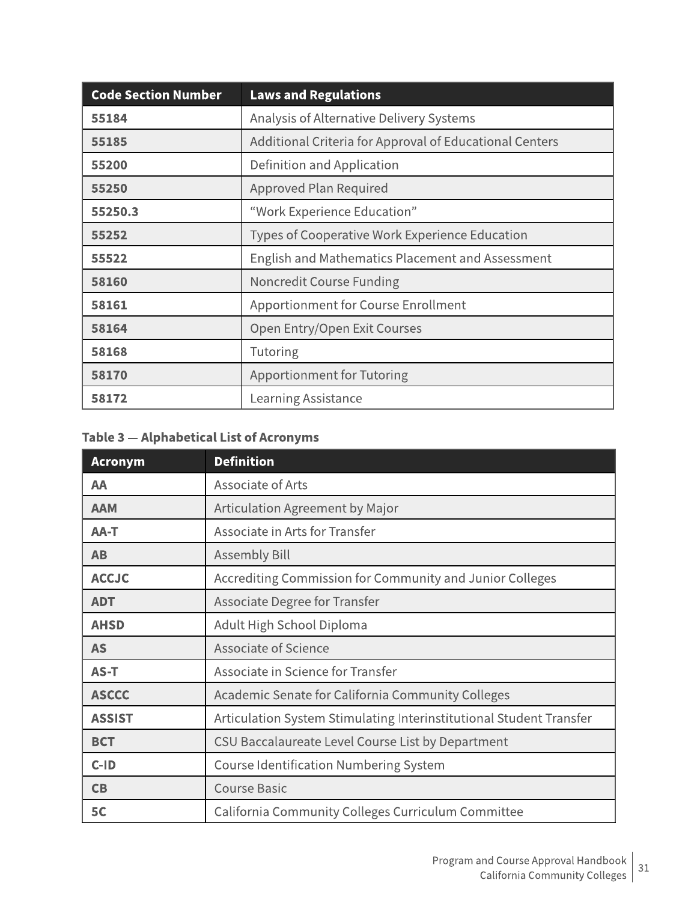| <b>Code Section Number</b> | <b>Laws and Regulations</b>                             |
|----------------------------|---------------------------------------------------------|
| 55184                      | Analysis of Alternative Delivery Systems                |
| 55185                      | Additional Criteria for Approval of Educational Centers |
| 55200                      | Definition and Application                              |
| 55250                      | Approved Plan Required                                  |
| 55250.3                    | "Work Experience Education"                             |
| 55252                      | Types of Cooperative Work Experience Education          |
| 55522                      | English and Mathematics Placement and Assessment        |
| 58160                      | Noncredit Course Funding                                |
| 58161                      | Apportionment for Course Enrollment                     |
| 58164                      | Open Entry/Open Exit Courses                            |
| 58168                      | Tutoring                                                |
| 58170                      | <b>Apportionment for Tutoring</b>                       |
| 58172                      | Learning Assistance                                     |

# Table 3 - Alphabetical List of Acronyms

| <b>Acronym</b> | <b>Definition</b>                                                   |
|----------------|---------------------------------------------------------------------|
| AA             | Associate of Arts                                                   |
| <b>AAM</b>     | Articulation Agreement by Major                                     |
| AA-T           | Associate in Arts for Transfer                                      |
| <b>AB</b>      | <b>Assembly Bill</b>                                                |
| <b>ACCJC</b>   | Accrediting Commission for Community and Junior Colleges            |
| <b>ADT</b>     | Associate Degree for Transfer                                       |
| <b>AHSD</b>    | Adult High School Diploma                                           |
| <b>AS</b>      | <b>Associate of Science</b>                                         |
| AS-T           | Associate in Science for Transfer                                   |
| <b>ASCCC</b>   | Academic Senate for California Community Colleges                   |
| <b>ASSIST</b>  | Articulation System Stimulating Interinstitutional Student Transfer |
| <b>BCT</b>     | CSU Baccalaureate Level Course List by Department                   |
| $C-ID$         | <b>Course Identification Numbering System</b>                       |
| CB             | <b>Course Basic</b>                                                 |
| 5C             | California Community Colleges Curriculum Committee                  |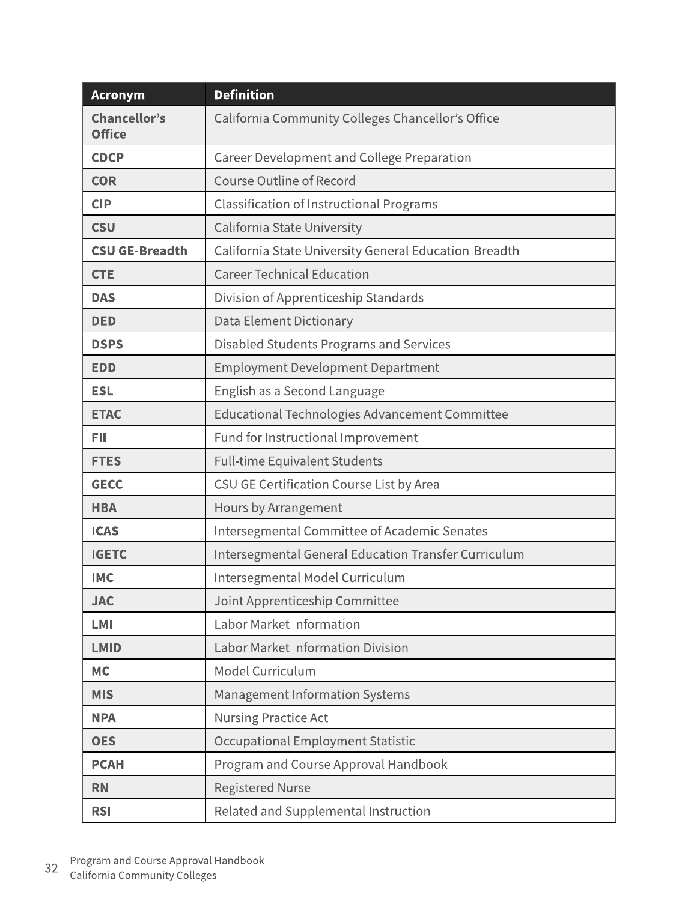| <b>Acronym</b>                       | <b>Definition</b>                                     |
|--------------------------------------|-------------------------------------------------------|
| <b>Chancellor's</b><br><b>Office</b> | California Community Colleges Chancellor's Office     |
| <b>CDCP</b>                          | <b>Career Development and College Preparation</b>     |
| <b>COR</b>                           | <b>Course Outline of Record</b>                       |
| <b>CIP</b>                           | <b>Classification of Instructional Programs</b>       |
| <b>CSU</b>                           | California State University                           |
| <b>CSU GE-Breadth</b>                | California State University General Education-Breadth |
| <b>CTE</b>                           | <b>Career Technical Education</b>                     |
| <b>DAS</b>                           | Division of Apprenticeship Standards                  |
| <b>DED</b>                           | <b>Data Element Dictionary</b>                        |
| <b>DSPS</b>                          | Disabled Students Programs and Services               |
| <b>EDD</b>                           | <b>Employment Development Department</b>              |
| <b>ESL</b>                           | English as a Second Language                          |
| <b>ETAC</b>                          | Educational Technologies Advancement Committee        |
| <b>FII</b>                           | Fund for Instructional Improvement                    |
| <b>FTES</b>                          | <b>Full-time Equivalent Students</b>                  |
| <b>GECC</b>                          | CSU GE Certification Course List by Area              |
| <b>HBA</b>                           | Hours by Arrangement                                  |
| <b>ICAS</b>                          | Intersegmental Committee of Academic Senates          |
| <b>IGETC</b>                         | Intersegmental General Education Transfer Curriculum  |
| <b>IMC</b>                           | Intersegmental Model Curriculum                       |
| <b>JAC</b>                           | Joint Apprenticeship Committee                        |
| <b>LMI</b>                           | <b>Labor Market Information</b>                       |
| <b>LMID</b>                          | <b>Labor Market Information Division</b>              |
| <b>MC</b>                            | Model Curriculum                                      |
| <b>MIS</b>                           | <b>Management Information Systems</b>                 |
| <b>NPA</b>                           | Nursing Practice Act                                  |
| <b>OES</b>                           | Occupational Employment Statistic                     |
| <b>PCAH</b>                          | Program and Course Approval Handbook                  |
| <b>RN</b>                            | <b>Registered Nurse</b>                               |
| <b>RSI</b>                           | Related and Supplemental Instruction                  |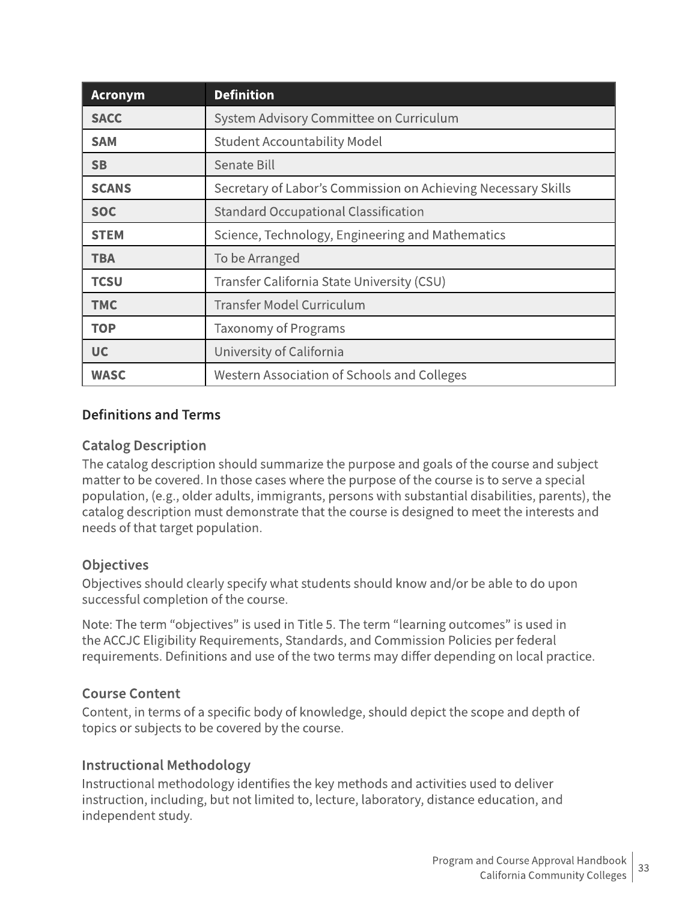| <b>Acronym</b> | <b>Definition</b>                                             |
|----------------|---------------------------------------------------------------|
| <b>SACC</b>    | System Advisory Committee on Curriculum                       |
| <b>SAM</b>     | <b>Student Accountability Model</b>                           |
| <b>SB</b>      | Senate Bill                                                   |
| <b>SCANS</b>   | Secretary of Labor's Commission on Achieving Necessary Skills |
| <b>SOC</b>     | <b>Standard Occupational Classification</b>                   |
| <b>STEM</b>    | Science, Technology, Engineering and Mathematics              |
| <b>TBA</b>     | To be Arranged                                                |
| <b>TCSU</b>    | Transfer California State University (CSU)                    |
| <b>TMC</b>     | Transfer Model Curriculum                                     |
| <b>TOP</b>     | <b>Taxonomy of Programs</b>                                   |
| <b>UC</b>      | University of California                                      |
| <b>WASC</b>    | Western Association of Schools and Colleges                   |

## **Definitions and Terms**

## **Catalog Description**

The catalog description should summarize the purpose and goals of the course and subject matter to be covered. In those cases where the purpose of the course is to serve a special population, (e.g., older adults, immigrants, persons with substantial disabilities, parents), the catalog description must demonstrate that the course is designed to meet the interests and needs of that target population.

## **Objectives**

Objectives should clearly specify what students should know and/or be able to do upon successful completion of the course.

Note: The term "objectives" is used in Title 5. The term "learning outcomes" is used in the ACCJC Eligibility Requirements, Standards, and Commission Policies per federal requirements. Definitions and use of the two terms may differ depending on local practice.

## **Course Content**

Content, in terms of a specific body of knowledge, should depict the scope and depth of topics or subjects to be covered by the course.

## **Instructional Methodology**

Instructional methodology identifies the key methods and activities used to deliver instruction, including, but not limited to, lecture, laboratory, distance education, and independent study.